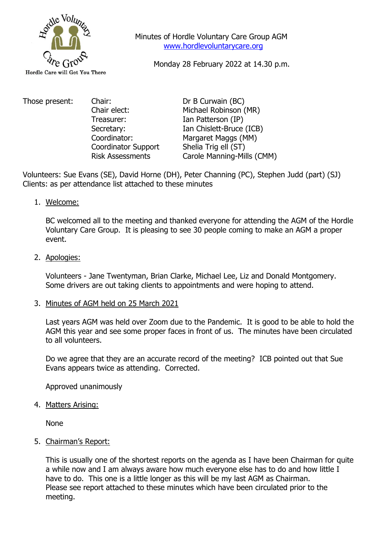

 Minutes of Hordle Voluntary Care Group AGM [www.hordlevoluntarycare.org](http://www.hordlevoluntarycare.org/)

Monday 28 February 2022 at 14.30 p.m.

Those present: Chair: Chair: Dr B Curwain (BC) Treasurer: Ian Patterson (IP) Coordinator Support Shelia Trig ell (ST)

Chair elect: Michael Robinson (MR) Secretary: Ian Chislett-Bruce (ICB) Coordinator: Margaret Maggs (MM) Risk Assessments Carole Manning-Mills (CMM)

Volunteers: Sue Evans (SE), David Horne (DH), Peter Channing (PC), Stephen Judd (part) (SJ) Clients: as per attendance list attached to these minutes

1. Welcome:

BC welcomed all to the meeting and thanked everyone for attending the AGM of the Hordle Voluntary Care Group. It is pleasing to see 30 people coming to make an AGM a proper event.

2. Apologies:

Volunteers - Jane Twentyman, Brian Clarke, Michael Lee, Liz and Donald Montgomery. Some drivers are out taking clients to appointments and were hoping to attend.

3. Minutes of AGM held on 25 March 2021

Last years AGM was held over Zoom due to the Pandemic. It is good to be able to hold the AGM this year and see some proper faces in front of us. The minutes have been circulated to all volunteers.

Do we agree that they are an accurate record of the meeting? ICB pointed out that Sue Evans appears twice as attending. Corrected.

Approved unanimously

4. Matters Arising:

None

5. Chairman's Report:

This is usually one of the shortest reports on the agenda as I have been Chairman for quite a while now and I am always aware how much everyone else has to do and how little I have to do. This one is a little longer as this will be my last AGM as Chairman. Please see report attached to these minutes which have been circulated prior to the meeting.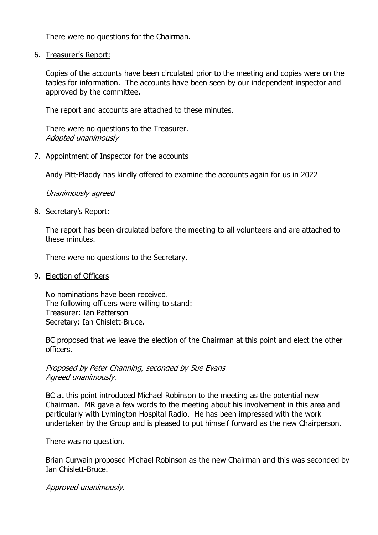There were no questions for the Chairman.

6. Treasurer's Report:

Copies of the accounts have been circulated prior to the meeting and copies were on the tables for information. The accounts have been seen by our independent inspector and approved by the committee.

The report and accounts are attached to these minutes.

There were no questions to the Treasurer. Adopted unanimously

## 7. Appointment of Inspector for the accounts

Andy Pitt-Pladdy has kindly offered to examine the accounts again for us in 2022

Unanimously agreed

8. Secretary's Report:

The report has been circulated before the meeting to all volunteers and are attached to these minutes.

There were no questions to the Secretary.

9. Election of Officers

No nominations have been received. The following officers were willing to stand: Treasurer: Ian Patterson Secretary: Ian Chislett-Bruce.

BC proposed that we leave the election of the Chairman at this point and elect the other officers.

Proposed by Peter Channing, seconded by Sue Evans Agreed unanimously.

BC at this point introduced Michael Robinson to the meeting as the potential new Chairman. MR gave a few words to the meeting about his involvement in this area and particularly with Lymington Hospital Radio. He has been impressed with the work undertaken by the Group and is pleased to put himself forward as the new Chairperson.

There was no question.

Brian Curwain proposed Michael Robinson as the new Chairman and this was seconded by Ian Chislett-Bruce.

Approved unanimously.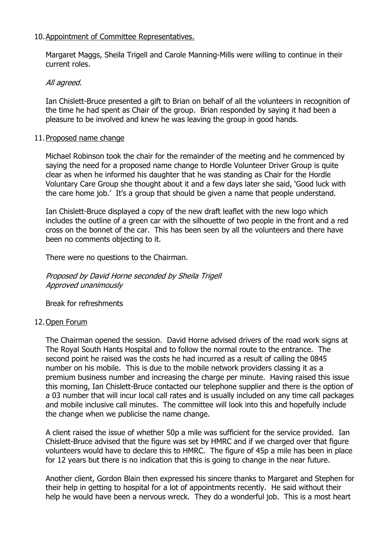# 10.Appointment of Committee Representatives.

Margaret Maggs, Sheila Trigell and Carole Manning-Mills were willing to continue in their current roles.

## All agreed.

Ian Chislett-Bruce presented a gift to Brian on behalf of all the volunteers in recognition of the time he had spent as Chair of the group. Brian responded by saying it had been a pleasure to be involved and knew he was leaving the group in good hands.

## 11.Proposed name change

Michael Robinson took the chair for the remainder of the meeting and he commenced by saying the need for a proposed name change to Hordle Volunteer Driver Group is quite clear as when he informed his daughter that he was standing as Chair for the Hordle Voluntary Care Group she thought about it and a few days later she said, 'Good luck with the care home job.' It's a group that should be given a name that people understand.

Ian Chislett-Bruce displayed a copy of the new draft leaflet with the new logo which includes the outline of a green car with the silhouette of two people in the front and a red cross on the bonnet of the car. This has been seen by all the volunteers and there have been no comments objecting to it.

There were no questions to the Chairman.

Proposed by David Horne seconded by Sheila Trigell Approved unanimously

Break for refreshments

## 12.Open Forum

The Chairman opened the session. David Horne advised drivers of the road work signs at The Royal South Hants Hospital and to follow the normal route to the entrance. The second point he raised was the costs he had incurred as a result of calling the 0845 number on his mobile. This is due to the mobile network providers classing it as a premium business number and increasing the charge per minute. Having raised this issue this morning, Ian Chislett-Bruce contacted our telephone supplier and there is the option of a 03 number that will incur local call rates and is usually included on any time call packages and mobile inclusive call minutes. The committee will look into this and hopefully include the change when we publicise the name change.

A client raised the issue of whether 50p a mile was sufficient for the service provided. Ian Chislett-Bruce advised that the figure was set by HMRC and if we charged over that figure volunteers would have to declare this to HMRC. The figure of 45p a mile has been in place for 12 years but there is no indication that this is going to change in the near future.

Another client, Gordon Blain then expressed his sincere thanks to Margaret and Stephen for their help in getting to hospital for a lot of appointments recently. He said without their help he would have been a nervous wreck. They do a wonderful job. This is a most heart